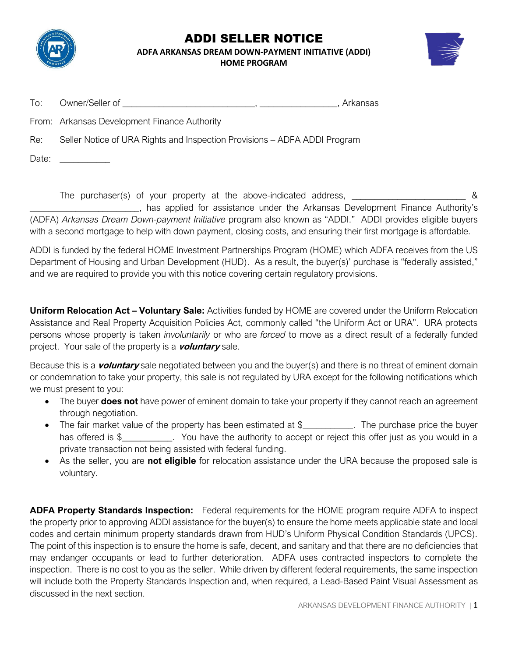

## ADDI SELLER NOTICE **ADFA ARKANSAS DREAM DOWN-PAYMENT INITIATIVE (ADDI)**

**HOME PROGRAM**



| To: | Owner/Seller of                              | . Arkansas |  |
|-----|----------------------------------------------|------------|--|
|     | From: Arkansas Development Finance Authority |            |  |

Re: Seller Notice of URA Rights and Inspection Provisions – ADFA ADDI Program

Date: \_\_\_\_\_\_\_\_\_\_\_

The purchaser(s) of your property at the above-indicated address, \_\_\_\_\_\_\_\_\_\_\_\_\_\_\_\_\_\_\_\_\_\_\_\_\_\_\_ &

\_\_\_\_\_\_\_\_\_\_\_\_\_\_\_\_\_\_\_\_\_\_\_\_, has applied for assistance under the Arkansas Development Finance Authority's (ADFA) *Arkansas Dream Down-payment Initiative* program also known as "ADDI." ADDI provides eligible buyers with a second mortgage to help with down payment, closing costs, and ensuring their first mortgage is affordable.

ADDI is funded by the federal HOME Investment Partnerships Program (HOME) which ADFA receives from the US Department of Housing and Urban Development (HUD). As a result, the buyer(s)' purchase is "federally assisted," and we are required to provide you with this notice covering certain regulatory provisions.

**Uniform Relocation Act – Voluntary Sale:** Activities funded by HOME are covered under the Uniform Relocation Assistance and Real Property Acquisition Policies Act, commonly called "the Uniform Act or URA". URA protects persons whose property is taken *involuntarily* or who are *forced* to move as a direct result of a federally funded project. Your sale of the property is a **voluntary** sale.

Because this is a **voluntary** sale negotiated between you and the buyer(s) and there is no threat of eminent domain or condemnation to take your property, this sale is not regulated by URA except for the following notifications which we must present to you:

- The buyer **does not** have power of eminent domain to take your property if they cannot reach an agreement through negotiation.
- The fair market value of the property has been estimated at \$\_\_\_\_\_\_\_\_\_\_. The purchase price the buyer has offered is \$\_\_\_\_\_\_\_\_\_\_. You have the authority to accept or reject this offer just as you would in a private transaction not being assisted with federal funding.
- As the seller, you are **not eligible** for relocation assistance under the URA because the proposed sale is voluntary.

**ADFA Property Standards Inspection:** Federal requirements for the HOME program require ADFA to inspect the property prior to approving ADDI assistance for the buyer(s) to ensure the home meets applicable state and local codes and certain minimum property standards drawn from HUD's Uniform Physical Condition Standards (UPCS). The point of this inspection is to ensure the home is safe, decent, and sanitary and that there are no deficiencies that may endanger occupants or lead to further deterioration. ADFA uses contracted inspectors to complete the inspection. There is no cost to you as the seller. While driven by different federal requirements, the same inspection will include both the Property Standards Inspection and, when required, a Lead-Based Paint Visual Assessment as discussed in the next section.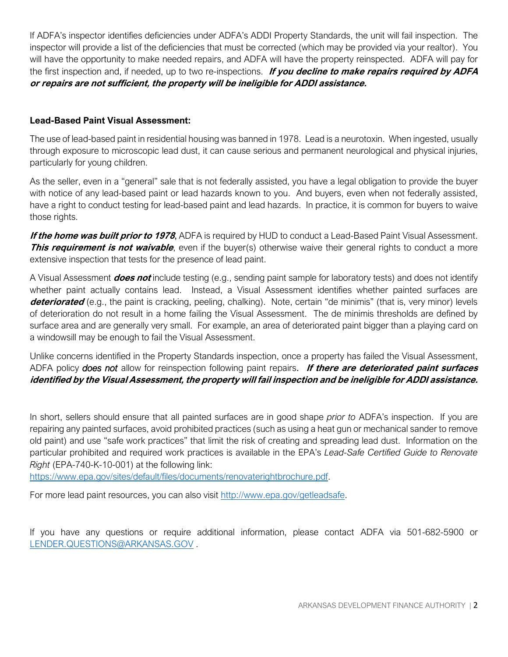If ADFA's inspector identifies deficiencies under ADFA's ADDI Property Standards, the unit will fail inspection. The inspector will provide a list of the deficiencies that must be corrected (which may be provided via your realtor). You will have the opportunity to make needed repairs, and ADFA will have the property reinspected. ADFA will pay for the first inspection and, if needed, up to two re-inspections. **If you decline to make repairs required by ADFA or repairs are not sufficient, the property will be ineligible for ADDI assistance.**

## **Lead-Based Paint Visual Assessment:**

The use of lead-based paint in residential housing was banned in 1978. Lead is a neurotoxin. When ingested, usually through exposure to microscopic lead dust, it can cause serious and permanent neurological and physical injuries, particularly for young children.

As the seller, even in a "general" sale that is not federally assisted, you have a legal obligation to provide the buyer with notice of any lead-based paint or lead hazards known to you. And buyers, even when not federally assisted, have a right to conduct testing for lead-based paint and lead hazards. In practice, it is common for buyers to waive those rights.

**If the home was built prior to 1978**, ADFA is required by HUD to conduct a Lead-Based Paint Visual Assessment. **This requirement is not waivable**, even if the buyer(s) otherwise waive their general rights to conduct a more extensive inspection that tests for the presence of lead paint.

A Visual Assessment **does not** include testing (e.g., sending paint sample for laboratory tests) and does not identify whether paint actually contains lead. Instead, a Visual Assessment identifies whether painted surfaces are **deteriorated** (e.g., the paint is cracking, peeling, chalking). Note, certain "de minimis" (that is, very minor) levels of deterioration do not result in a home failing the Visual Assessment. The de minimis thresholds are defined by surface area and are generally very small. For example, an area of deteriorated paint bigger than a playing card on a windowsill may be enough to fail the Visual Assessment.

Unlike concerns identified in the Property Standards inspection, once a property has failed the Visual Assessment, ADFA policy *does not* allow for reinspection following paint repairs. **If there are deteriorated paint surfaces identified by the Visual Assessment, the property will fail inspection and be ineligible for ADDI assistance.**

In short, sellers should ensure that all painted surfaces are in good shape *prior to* ADFA's inspection. If you are repairing any painted surfaces, avoid prohibited practices (such as using a heat gun or mechanical sander to remove old paint) and use "safe work practices" that limit the risk of creating and spreading lead dust. Information on the particular prohibited and required work practices is available in the EPA's *Lead-Safe Certified Guide to Renovate Right* (EPA-740-K-10-001) at the following link:

[https://www.epa.gov/sites/default/files/documents/renovaterightbrochure.pdf.](https://www.epa.gov/sites/default/files/documents/renovaterightbrochure.pdf)

For more lead paint resources, you can also visit [http://www.epa.gov/getleadsafe.](http://www.epa.gov/getleadsafe)

If you have any questions or require additional information, please contact ADFA via 501-682-5900 or [LENDER.QUESTIONS@ARKANSAS.GOV](mailto:LENDER.QUESTIONS@ARKANSAS.GOV) .